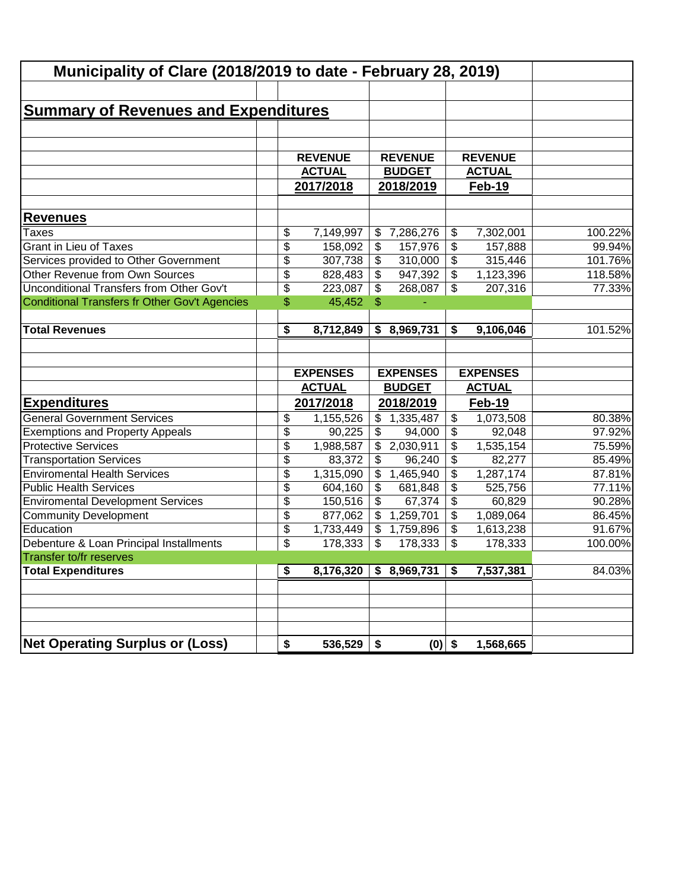| Municipality of Clare (2018/2019 to date - February 28, 2019) |    |                 |                           |                 |    |                 |         |
|---------------------------------------------------------------|----|-----------------|---------------------------|-----------------|----|-----------------|---------|
|                                                               |    |                 |                           |                 |    |                 |         |
| <b>Summary of Revenues and Expenditures</b>                   |    |                 |                           |                 |    |                 |         |
|                                                               |    |                 |                           |                 |    |                 |         |
|                                                               |    |                 |                           |                 |    |                 |         |
|                                                               |    | <b>REVENUE</b>  |                           | <b>REVENUE</b>  |    | <b>REVENUE</b>  |         |
|                                                               |    | <b>ACTUAL</b>   |                           | <b>BUDGET</b>   |    | <b>ACTUAL</b>   |         |
|                                                               |    | 2017/2018       |                           | 2018/2019       |    | Feb-19          |         |
|                                                               |    |                 |                           |                 |    |                 |         |
| <b>Revenues</b>                                               |    |                 |                           |                 |    |                 |         |
| <b>Taxes</b>                                                  | \$ | 7,149,997       | \$                        | 7,286,276       | \$ | 7,302,001       | 100.22% |
| <b>Grant in Lieu of Taxes</b>                                 | \$ | 158,092         | \$                        | 157,976         | \$ | 157,888         | 99.94%  |
| Services provided to Other Government                         | \$ | 307,738         | \$                        | 310,000         | \$ | 315,446         | 101.76% |
| Other Revenue from Own Sources                                | \$ | 828,483         | \$                        | 947,392         | \$ | 1,123,396       | 118.58% |
| Unconditional Transfers from Other Gov't                      | \$ | 223,087         | \$                        | 268,087         | \$ | 207,316         | 77.33%  |
| Conditional Transfers fr Other Gov't Agencies                 | \$ | 45,452          | $\mathsf{\$}$             |                 |    |                 |         |
|                                                               |    |                 |                           |                 |    |                 |         |
| <b>Total Revenues</b>                                         | \$ | 8,712,849       | \$                        | 8,969,731       | \$ | 9,106,046       | 101.52% |
|                                                               |    |                 |                           |                 |    |                 |         |
|                                                               |    |                 |                           |                 |    |                 |         |
|                                                               |    | <b>EXPENSES</b> |                           | <b>EXPENSES</b> |    | <b>EXPENSES</b> |         |
|                                                               |    | <b>ACTUAL</b>   |                           | <b>BUDGET</b>   |    | <b>ACTUAL</b>   |         |
| <b>Expenditures</b>                                           |    | 2017/2018       |                           | 2018/2019       |    | Feb-19          |         |
| <b>General Government Services</b>                            | \$ | 1,155,526       | \$                        | 1,335,487       | \$ | 1,073,508       | 80.38%  |
| <b>Exemptions and Property Appeals</b>                        | \$ | 90,225          | \$                        | 94,000          | \$ | 92,048          | 97.92%  |
| <b>Protective Services</b>                                    | \$ | 1,988,587       | \$                        | 2,030,911       | \$ | 1,535,154       | 75.59%  |
| <b>Transportation Services</b>                                | \$ | 83,372          | \$                        | 96,240          | \$ | 82,277          | 85.49%  |
| <b>Enviromental Health Services</b>                           | \$ | 1,315,090       | \$                        | 1,465,940       | \$ | 1,287,174       | 87.81%  |
| <b>Public Health Services</b>                                 | \$ | 604,160         | \$                        | 681,848         | \$ | 525,756         | 77.11%  |
| <b>Enviromental Development Services</b>                      | \$ | 150,516         | \$                        | 67,374          | \$ | 60,829          | 90.28%  |
| <b>Community Development</b>                                  | \$ | 877,062         | \$                        | 1,259,701       | \$ | 1,089,064       | 86.45%  |
| Education                                                     | \$ | 1,733,449       | $\boldsymbol{\mathsf{S}}$ | 1,759,896       | \$ | 1,613,238       | 91.67%  |
| Debenture & Loan Principal Installments                       | \$ | 178,333         | $\overline{\mathcal{S}}$  | 178,333         | \$ | 178,333         | 100.00% |
| Transfer to/fr reserves                                       |    |                 |                           |                 |    |                 |         |
| <b>Total Expenditures</b>                                     | \$ | 8,176,320       | \$                        | 8,969,731       | \$ | 7,537,381       | 84.03%  |
|                                                               |    |                 |                           |                 |    |                 |         |
|                                                               |    |                 |                           |                 |    |                 |         |
|                                                               |    |                 |                           |                 |    |                 |         |
| <b>Net Operating Surplus or (Loss)</b>                        | \$ | 536,529         | \$                        | $(0)$ \$        |    | 1,568,665       |         |
|                                                               |    |                 |                           |                 |    |                 |         |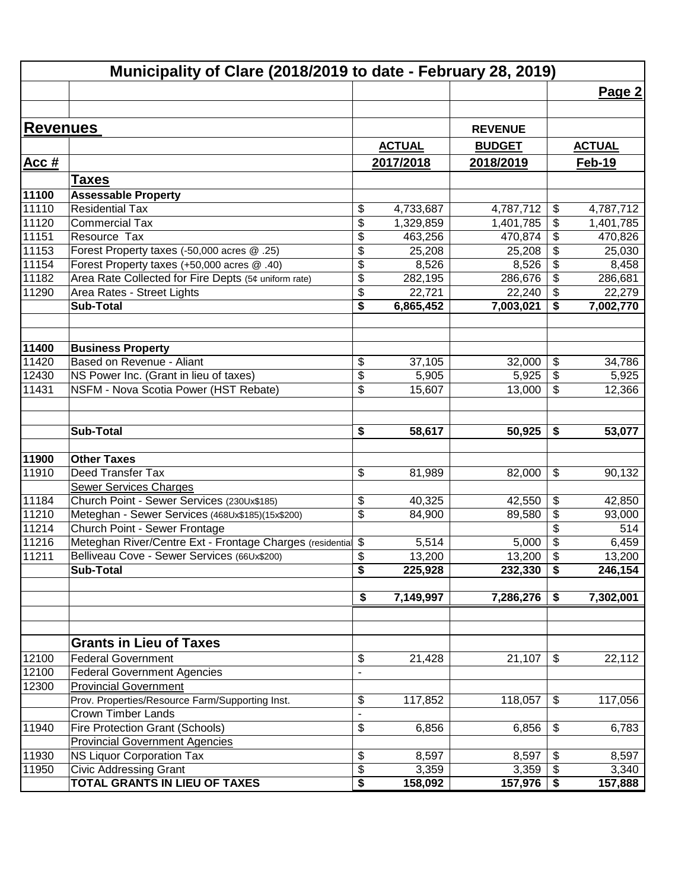|                 | Municipality of Clare (2018/2019 to date - February 28, 2019) |                                        |               |                |                 |
|-----------------|---------------------------------------------------------------|----------------------------------------|---------------|----------------|-----------------|
|                 |                                                               |                                        |               |                | Page 2          |
|                 |                                                               |                                        |               |                |                 |
| <b>Revenues</b> |                                                               |                                        |               | <b>REVENUE</b> |                 |
|                 |                                                               |                                        | <b>ACTUAL</b> | <b>BUDGET</b>  | <b>ACTUAL</b>   |
| <b>Acc#</b>     |                                                               |                                        | 2017/2018     | 2018/2019      | <b>Feb-19</b>   |
|                 |                                                               |                                        |               |                |                 |
|                 | <b>Taxes</b>                                                  |                                        |               |                |                 |
| 11100<br>11110  | <b>Assessable Property</b><br><b>Residential Tax</b>          | \$                                     | 4,733,687     | 4,787,712      | \$<br>4,787,712 |
| 11120           | <b>Commercial Tax</b>                                         | \$                                     | 1,329,859     | 1,401,785      | \$<br>1,401,785 |
| 11151           | Resource Tax                                                  | \$                                     | 463,256       | 470,874        | \$<br>470,826   |
| 11153           | Forest Property taxes (-50,000 acres @ .25)                   | \$                                     | 25,208        | 25,208         | \$<br>25,030    |
| 11154           | Forest Property taxes (+50,000 acres @ .40)                   | $\overline{\boldsymbol{\mathfrak{s}}}$ | 8,526         | 8,526          | \$<br>8,458     |
| 11182           | Area Rate Collected for Fire Depts (5¢ uniform rate)          | \$                                     | 282,195       | 286,676        | \$<br>286,681   |
| 11290           | Area Rates - Street Lights                                    | \$                                     | 22,721        | 22,240         | \$<br>22,279    |
|                 | <b>Sub-Total</b>                                              | \$                                     | 6,865,452     | 7,003,021      | \$<br>7,002,770 |
|                 |                                                               |                                        |               |                |                 |
|                 |                                                               |                                        |               |                |                 |
| 11400           | <b>Business Property</b>                                      |                                        |               |                |                 |
| 11420           | Based on Revenue - Aliant                                     | \$                                     | 37,105        | 32,000         | \$<br>34,786    |
| 12430           | NS Power Inc. (Grant in lieu of taxes)                        | $\overline{\$}$                        | 5,905         | 5,925          | \$<br>5,925     |
| 11431           | NSFM - Nova Scotia Power (HST Rebate)                         | \$                                     | 15,607        | 13,000         | \$<br>12,366    |
|                 |                                                               |                                        |               |                |                 |
|                 |                                                               |                                        |               |                |                 |
|                 | <b>Sub-Total</b>                                              | \$                                     | 58,617        | 50,925         | \$<br>53,077    |
|                 |                                                               |                                        |               |                |                 |
| 11900           | <b>Other Taxes</b>                                            |                                        |               |                |                 |
| 11910           | Deed Transfer Tax                                             | \$                                     | 81,989        | 82,000         | \$<br>90,132    |
|                 | <b>Sewer Services Charges</b>                                 |                                        |               |                |                 |
| 11184           | Church Point - Sewer Services (230Ux\$185)                    | \$                                     | 40,325        | 42,550         | \$<br>42,850    |
| 11210           | Meteghan - Sewer Services (468Ux\$185)(15x\$200)              | \$                                     | 84,900        | 89,580         | \$<br>93,000    |
| 11214           | Church Point - Sewer Frontage                                 |                                        |               |                | \$<br>514       |
| 11216           | Meteghan River/Centre Ext - Frontage Charges (residential \$  |                                        | 5,514         | 5,000          | \$<br>6,459     |
| 11211           | Belliveau Cove - Sewer Services (66Ux\$200)                   | \$                                     | 13,200        | 13,200         | \$<br>13,200    |
|                 | <b>Sub-Total</b>                                              | \$                                     | 225,928       | 232,330        | \$<br>246,154   |
|                 |                                                               |                                        |               |                |                 |
|                 |                                                               | \$                                     | 7,149,997     | 7,286,276      | \$<br>7,302,001 |
|                 |                                                               |                                        |               |                |                 |
|                 |                                                               |                                        |               |                |                 |
|                 | <b>Grants in Lieu of Taxes</b>                                |                                        |               |                |                 |
| 12100           | <b>Federal Government</b>                                     | \$                                     | 21,428        | 21,107         | \$<br>22,112    |
| 12100           | <b>Federal Government Agencies</b>                            | $\overline{a}$                         |               |                |                 |
| 12300           | <b>Provincial Government</b>                                  |                                        |               |                |                 |
|                 | Prov. Properties/Resource Farm/Supporting Inst.               | \$                                     | 117,852       | 118,057        | \$<br>117,056   |
|                 | <b>Crown Timber Lands</b>                                     |                                        |               |                |                 |
| 11940           | <b>Fire Protection Grant (Schools)</b>                        | \$                                     | 6,856         | 6,856          | \$<br>6,783     |
|                 | <b>Provincial Government Agencies</b>                         |                                        |               |                |                 |
| 11930           | <b>NS Liquor Corporation Tax</b>                              | \$                                     | 8,597         | 8,597          | \$<br>8,597     |
| 11950           | <b>Civic Addressing Grant</b>                                 | $\overline{\$}$                        | 3,359         | 3,359          | \$<br>3,340     |
|                 | <b>TOTAL GRANTS IN LIEU OF TAXES</b>                          | $\overline{\boldsymbol{\mathsf{s}}}$   | 158,092       | 157,976        | \$<br>157,888   |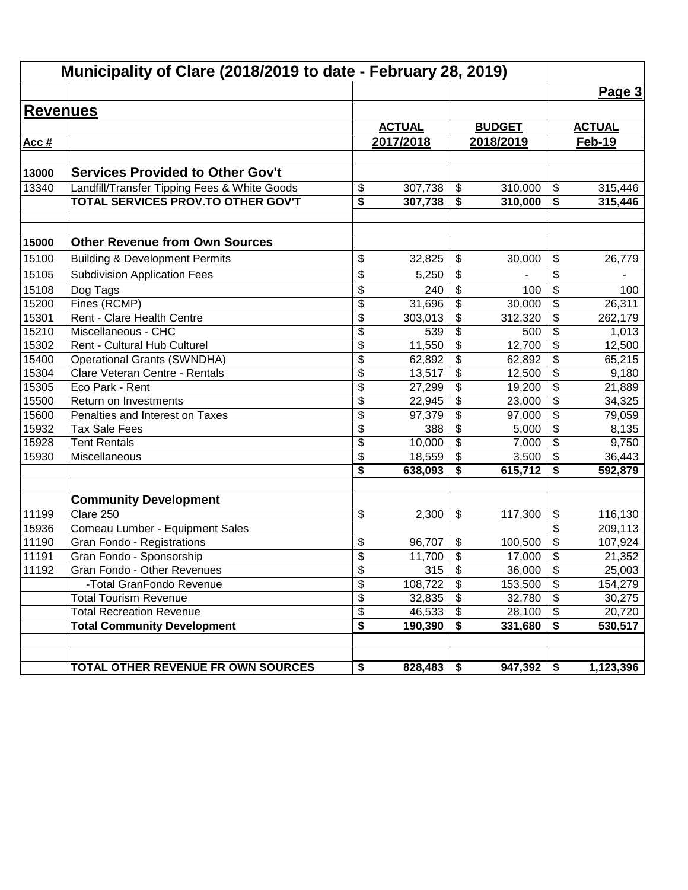|                 | Municipality of Clare (2018/2019 to date - February 28, 2019)         |                 |               |                           |               |                                                 |               |
|-----------------|-----------------------------------------------------------------------|-----------------|---------------|---------------------------|---------------|-------------------------------------------------|---------------|
|                 |                                                                       |                 |               |                           |               |                                                 | Page 3        |
| <b>Revenues</b> |                                                                       |                 |               |                           |               |                                                 |               |
|                 |                                                                       |                 | <b>ACTUAL</b> |                           | <b>BUDGET</b> |                                                 | <b>ACTUAL</b> |
| Acc #           |                                                                       |                 | 2017/2018     |                           | 2018/2019     |                                                 | Feb-19        |
|                 |                                                                       |                 |               |                           |               |                                                 |               |
| 13000           | <b>Services Provided to Other Gov't</b>                               |                 |               |                           |               |                                                 |               |
| 13340           | Landfill/Transfer Tipping Fees & White Goods                          | \$              | 307,738       | \$                        | 310,000       | $\, \, \raisebox{12pt}{$\scriptstyle \$}$       | 315,446       |
|                 | <b>TOTAL SERVICES PROV.TO OTHER GOV'T</b>                             | \$              | 307,738       | \$                        | 310,000       | \$                                              | 315,446       |
|                 |                                                                       |                 |               |                           |               |                                                 |               |
|                 |                                                                       |                 |               |                           |               |                                                 |               |
| 15000           | <b>Other Revenue from Own Sources</b>                                 |                 |               |                           |               |                                                 |               |
| 15100           | <b>Building &amp; Development Permits</b>                             | \$              | 32,825        | \$                        | 30,000        | \$                                              | 26,779        |
| 15105           | <b>Subdivision Application Fees</b>                                   | \$              | 5,250         | \$                        |               | \$                                              |               |
| 15108           | Dog Tags                                                              | \$              | 240           | \$                        | 100           | \$                                              | 100           |
| 15200           | Fines (RCMP)                                                          | \$              | 31,696        | \$                        | 30,000        | $\overline{\boldsymbol{\theta}}$                | 26,311        |
| 15301           | Rent - Clare Health Centre                                            | \$              | 303,013       | \$                        | 312,320       | \$                                              | 262,179       |
| 15210           | Miscellaneous - CHC                                                   | \$              | 539           | \$                        | 500           | \$                                              | 1,013         |
| 15302           | Rent - Cultural Hub Culturel                                          | \$              | 11,550        | \$                        | 12,700        | $\overline{\boldsymbol{\theta}}$                | 12,500        |
| 15400           | <b>Operational Grants (SWNDHA)</b>                                    | \$              | 62,892        | \$                        | 62,892        | $\overline{\boldsymbol{\theta}}$                | 65,215        |
| 15304           | Clare Veteran Centre - Rentals                                        | \$              | 13,517        | \$                        | 12,500        | $\overline{\boldsymbol{\theta}}$                | 9,180         |
| 15305           | Eco Park - Rent                                                       | \$              | 27,299        | \$                        | 19,200        | $\overline{\$}$                                 | 21,889        |
| 15500           | Return on Investments                                                 | \$              | 22,945        | \$                        | 23,000        | $\overline{\$}$                                 | 34,325        |
| 15600           | Penalties and Interest on Taxes                                       | \$              | 97,379        | \$                        | 97,000        | $\overline{\$}$                                 | 79,059        |
| 15932           | <b>Tax Sale Fees</b>                                                  | \$              | 388           | \$                        | 5,000         | $\overline{\$}$                                 | 8,135         |
| 15928           | <b>Tent Rentals</b>                                                   | \$              | 10,000        | \$                        | 7,000         | $\overline{\$}$                                 | 9,750         |
| 15930           | Miscellaneous                                                         | $\overline{\$}$ | 18,559        | \$                        | 3,500         | $\overline{\$}$                                 | 36,443        |
|                 |                                                                       | \$              | 638,093       | \$                        | 615,712       | \$                                              | 592,879       |
|                 |                                                                       |                 |               |                           |               |                                                 |               |
|                 | <b>Community Development</b>                                          |                 |               |                           |               |                                                 |               |
| 11199           | Clare 250                                                             | \$              | 2,300         | \$                        | 117,300       | \$                                              | 116,130       |
| 15936           | Comeau Lumber - Equipment Sales                                       |                 |               |                           |               | \$                                              | 209,113       |
| 11190           | Gran Fondo - Registrations                                            | \$              | 96,707        | \$                        | 100,500       | \$                                              | 107,924       |
| 11191           | Gran Fondo - Sponsorship                                              | \$              | 11,700        | \$                        | 17,000        | \$                                              | 21,352        |
| 11192           | Gran Fondo - Other Revenues                                           | \$              | 315           | $\overline{\mathbf{3}}$   | 36,000        | $\boldsymbol{\mathsf{\$}}$                      | 25,003        |
|                 | -Total GranFondo Revenue                                              | \$              | 108,722       | s)                        | 153,500       | $\overline{\mathbf{s}}$                         | 154,279       |
|                 | <b>Total Tourism Revenue</b>                                          | \$              | 32,835        | $\boldsymbol{\mathsf{S}}$ | 32,780        | $\sqrt[6]{\frac{1}{2}}$                         | 30,275        |
|                 | <b>Total Recreation Revenue</b><br><b>Total Community Development</b> | \$              | 46,533        | $\boldsymbol{\mathsf{S}}$ | 28,100        | $\overline{\mathbf{e}}$<br>$\overline{\bullet}$ | 20,720        |
|                 |                                                                       | \$              | 190,390       | \$                        | 331,680       |                                                 | 530,517       |
|                 |                                                                       |                 |               |                           |               |                                                 |               |
|                 | TOTAL OTHER REVENUE FR OWN SOURCES                                    | \$              | 828,483       | \$                        | 947,392       | \$                                              | 1,123,396     |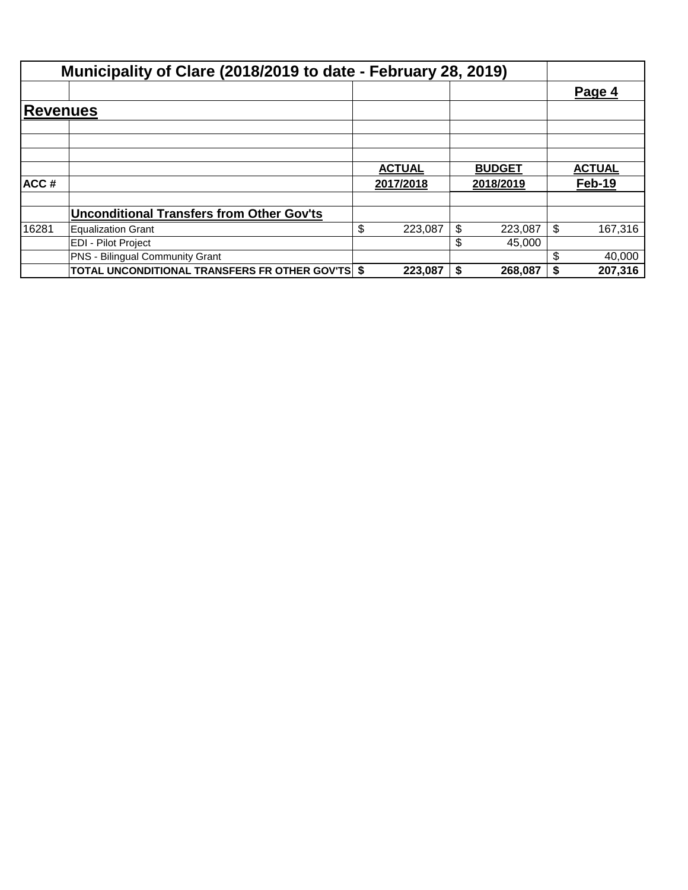|                 | Municipality of Clare (2018/2019 to date - February 28, 2019) |               |               |    |               |
|-----------------|---------------------------------------------------------------|---------------|---------------|----|---------------|
|                 |                                                               |               |               |    | Page 4        |
| <b>Revenues</b> |                                                               |               |               |    |               |
|                 |                                                               |               |               |    |               |
|                 |                                                               |               |               |    |               |
|                 |                                                               | <b>ACTUAL</b> | <b>BUDGET</b> |    | <b>ACTUAL</b> |
| ACC#            |                                                               | 2017/2018     | 2018/2019     |    | Feb-19        |
|                 | <b>Unconditional Transfers from Other Gov'ts</b>              |               |               |    |               |
| 16281           | <b>Equalization Grant</b>                                     | \$<br>223,087 | \$<br>223,087 | \$ | 167,316       |
|                 | <b>EDI - Pilot Project</b>                                    |               | \$<br>45.000  |    |               |
|                 | <b>PNS - Bilingual Community Grant</b>                        |               |               | \$ | 40,000        |
|                 | <b>TOTAL UNCONDITIONAL TRANSFERS FR OTHER GOV'TS \$</b>       | 223,087       | 268,087       | S  | 207,316       |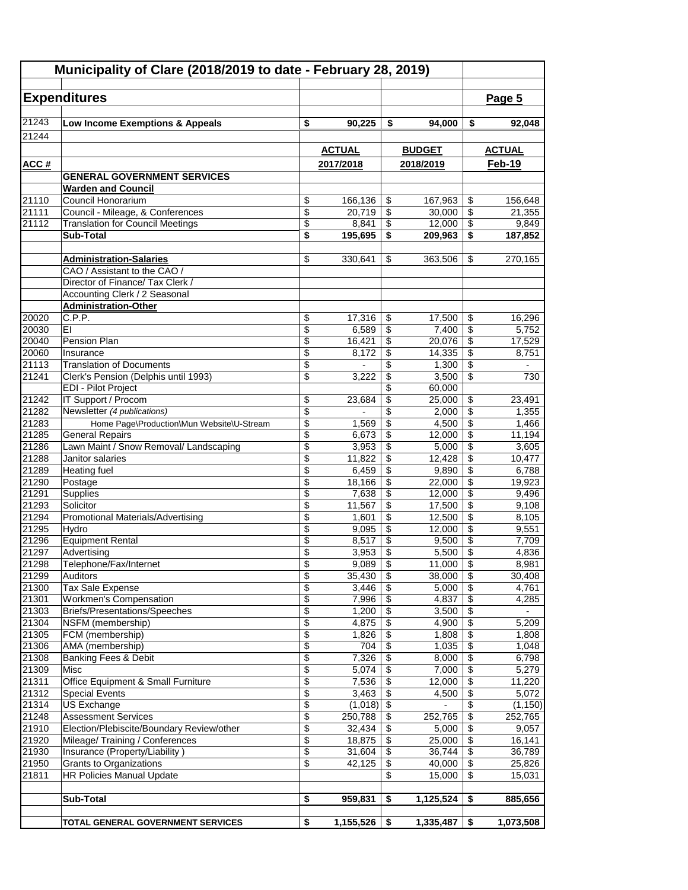|                | Municipality of Clare (2018/2019 to date - February 28, 2019)           |                 |                   |                           |                          |                                        |                 |
|----------------|-------------------------------------------------------------------------|-----------------|-------------------|---------------------------|--------------------------|----------------------------------------|-----------------|
|                |                                                                         |                 |                   |                           |                          |                                        |                 |
|                | <b>Expenditures</b>                                                     |                 |                   |                           |                          |                                        | Page 5          |
| 21243          | Low Income Exemptions & Appeals                                         | \$              | 90,225            | \$                        | 94,000                   | \$                                     | 92,048          |
| 21244          |                                                                         |                 |                   |                           |                          |                                        |                 |
|                |                                                                         |                 | <b>ACTUAL</b>     |                           | <b>BUDGET</b>            |                                        | <b>ACTUAL</b>   |
|                |                                                                         |                 |                   |                           |                          |                                        | Feb-19          |
| ACC#           | <b>GENERAL GOVERNMENT SERVICES</b>                                      |                 | 2017/2018         |                           | 2018/2019                |                                        |                 |
|                | <b>Warden and Council</b>                                               |                 |                   |                           |                          |                                        |                 |
| 21110          | Council Honorarium                                                      | \$              | 166,136           | \$                        | 167,963                  | \$                                     | 156,648         |
| 21111          | Council - Mileage, & Conferences                                        | \$              | 20,719            | \$                        | 30,000                   | \$                                     | 21,355          |
| 21112          | <b>Translation for Council Meetings</b>                                 | \$              | 8,841             | \$                        | 12,000                   | $\overline{\$}$                        | 9,849           |
|                | Sub-Total                                                               | \$              | 195,695           | \$                        | 209,963                  | \$                                     | 187,852         |
|                |                                                                         |                 |                   |                           |                          |                                        |                 |
|                | <b>Administration-Salaries</b>                                          | \$              | 330,641           | \$                        | 363,506                  | \$                                     | 270,165         |
|                | CAO / Assistant to the CAO /                                            |                 |                   |                           |                          |                                        |                 |
|                | Director of Finance/ Tax Clerk /                                        |                 |                   |                           |                          |                                        |                 |
|                | Accounting Clerk / 2 Seasonal                                           |                 |                   |                           |                          |                                        |                 |
|                | <b>Administration-Other</b>                                             |                 |                   |                           |                          |                                        |                 |
| 20020          | C.P.P.                                                                  | \$<br>\$        | 17,316            | \$                        | 17,500                   | \$<br>$\overline{\mathcal{S}}$         | 16,296          |
| 20030<br>20040 | EI<br>Pension Plan                                                      | \$              | 6,589             | \$<br>\$                  | 7,400<br>20,076          | \$                                     | 5,752           |
| 20060          | Insurance                                                               | \$              | 16,421<br>8.172   | \$                        | 14,335                   | \$                                     | 17,529<br>8,751 |
| 21113          | <b>Translation of Documents</b>                                         | \$              |                   | \$                        | 1,300                    | \$                                     |                 |
| 21241          | Clerk's Pension (Delphis until 1993)                                    | $\overline{\$}$ | 3,222             | \$                        | 3,500                    | $\overline{\$}$                        | 730             |
|                | <b>EDI - Pilot Project</b>                                              |                 |                   | \$                        | 60,000                   |                                        |                 |
| 21242          | <b>IT Support / Procom</b>                                              | \$              | 23,684            | \$                        | 25,000                   | \$                                     | 23,491          |
| 21282          | Newsletter (4 publications)                                             | \$              | $\overline{a}$    | \$                        | 2,000                    | \$                                     | 1,355           |
| 21283          | Home Page\Production\Mun Website\U-Stream                               | \$              | 1,569             | \$                        | 4,500                    | $\overline{\$}$                        | 1,466           |
| 21285          | <b>General Repairs</b>                                                  | \$              | 6,673             | \$                        | 12,000                   | $\overline{\$}$                        | 11,194          |
| 21286          | Lawn Maint / Snow Removal/ Landscaping                                  | \$              | 3,953             | \$                        | 5,000                    | $\overline{\boldsymbol{\mathfrak{s}}}$ | 3,605           |
| 21288          | Janitor salaries                                                        | $\overline{\$}$ | 11,822            | \$                        | 12,428                   | $\overline{\$}$                        | 10,477          |
| 21289          | <b>Heating fuel</b>                                                     | \$              | 6,459             | \$                        | 9,890                    | $\overline{\$}$                        | 6,788           |
| 21290          | Postage                                                                 | \$              | 18,166            | \$                        | 22,000                   | $\overline{\mathbf{S}}$                | 19,923          |
| 21291          | Supplies                                                                | \$              | 7,638             | \$                        | 12,000                   | \$                                     | 9,496           |
| 21293          | Solicitor                                                               | \$              | 11,567            | \$                        | 17,500                   | $\overline{\boldsymbol{\mathfrak{s}}}$ | 9,108           |
| 21294          | Promotional Materials/Advertising                                       | \$              | 1,601             | \$                        | 12,500                   | \$<br>$\overline{\mathcal{S}}$         | 8,105           |
| 21295<br>21296 | Hydro<br><b>Equipment Rental</b>                                        | \$<br>\$        | 9,095<br>8,517    | \$<br>\$                  | 12,000<br>9,500          | \$                                     | 9,551<br>7,709  |
| 21297          | Advertising                                                             | \$              | 3,953             | \$                        | 5,500                    | $\overline{\$}$                        | 4,836           |
| 21298          | Telephone/Fax/Internet                                                  | \$              | $9,089$ \$        |                           | 11,000                   | $\overline{\mathcal{S}}$               | 8,981           |
| 21299          | Auditors                                                                | \$              | 35,430            | \$                        | 38,000                   | \$                                     | 30,408          |
| 21300          | Tax Sale Expense                                                        | \$              | 3,446             | \$                        | 5,000                    | \$                                     | 4,761           |
| 21301          | <b>Workmen's Compensation</b>                                           | $\overline{\$}$ | 7,996             | $\overline{\$}$           | 4,837                    | $\overline{\$}$                        | 4,285           |
| 21303          | Briefs/Presentations/Speeches                                           | \$              | 1,200             | \$                        | 3,500                    | $\overline{\$}$                        |                 |
| 21304          | NSFM (membership)                                                       | \$              | 4,875             | \$                        | 4,900                    | $\sqrt{2}$                             | 5,209           |
| 21305          | FCM (membership)                                                        | \$              | 1,826             | \$                        | 1,808                    | \$                                     | 1,808           |
| 21306          | AMA (membership)                                                        | \$              | 704               | $\boldsymbol{\mathsf{S}}$ | 1,035                    | \$                                     | 1,048           |
| 21308          | Banking Fees & Debit                                                    | \$              | 7,326             | \$                        | 8,000                    | \$                                     | 6,798           |
| 21309          | Misc                                                                    | \$              | 5,074             | \$                        | 7,000                    | $\overline{\$}$                        | 5,279           |
| 21311          | Office Equipment & Small Furniture                                      | $\overline{\$}$ | 7,536             | \$                        | 12,000                   | $\overline{\$}$                        | 11,220          |
| 21312          | <b>Special Events</b>                                                   | \$              | 3,463             | $\overline{\$}$           | 4,500                    | $\overline{\$}$                        | 5,072           |
| 21314          | US Exchange                                                             | \$              | (1,018)           | \$                        | $\overline{\phantom{a}}$ | $\overline{\mathbf{S}}$                | (1, 150)        |
| 21248<br>21910 | <b>Assessment Services</b><br>Election/Plebiscite/Boundary Review/other | \$<br>\$        | 250,788<br>32,434 | \$                        | 252,765<br>5,000         | \$<br>\$                               | 252,765         |
| 21920          | Mileage/Training / Conferences                                          | \$              | 18,875            | \$<br>\$                  | 25,000                   | $\overline{\mathbf{3}}$                | 9,057<br>16,141 |
| 21930          | Insurance (Property/Liability)                                          | $\overline{\$}$ | 31,604            | \$                        | 36,744                   | $\overline{\$}$                        | 36,789          |
| 21950          | Grants to Organizations                                                 | \$              | 42,125            | \$                        | 40,000                   | $\overline{\$}$                        | 25,826          |
| 21811          | HR Policies Manual Update                                               |                 |                   | \$                        | 15,000                   | \$                                     | 15,031          |
|                |                                                                         |                 |                   |                           |                          |                                        |                 |
|                | Sub-Total                                                               | \$              | 959,831           | \$                        | 1,125,524                | \$                                     | 885,656         |
|                |                                                                         |                 |                   |                           |                          |                                        |                 |
|                | TOTAL GENERAL GOVERNMENT SERVICES                                       | \$              | 1,155,526         | - \$                      | 1,335,487                | \$                                     | 1,073,508       |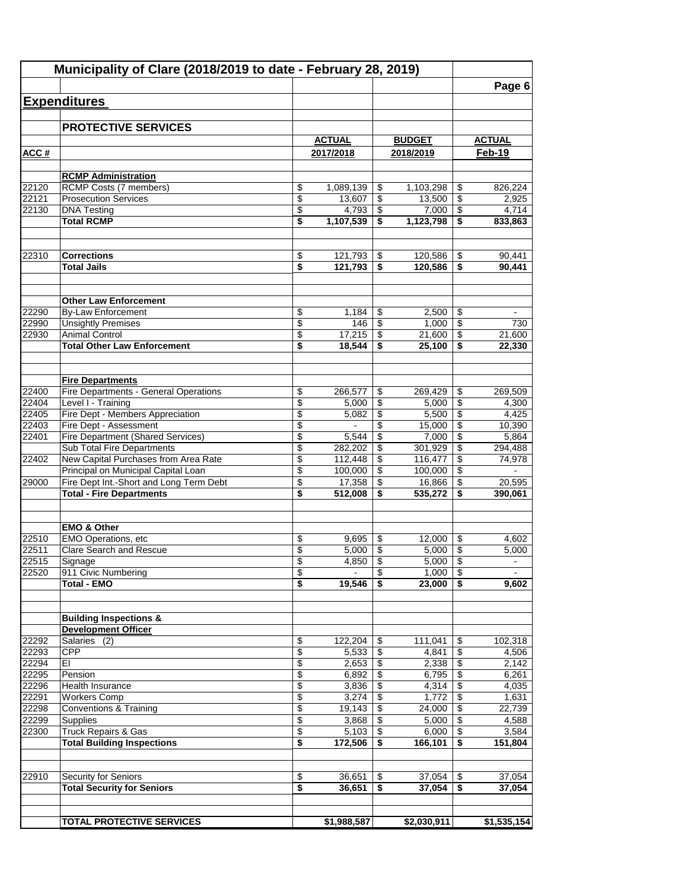| Municipality of Clare (2018/2019 to date - February 28, 2019) |                                                                            |                                        |                |                 |                |                               |                |
|---------------------------------------------------------------|----------------------------------------------------------------------------|----------------------------------------|----------------|-----------------|----------------|-------------------------------|----------------|
|                                                               |                                                                            |                                        |                |                 |                |                               | Page 6         |
|                                                               | <b>Expenditures</b>                                                        |                                        |                |                 |                |                               |                |
|                                                               |                                                                            |                                        |                |                 |                |                               |                |
|                                                               | <b>PROTECTIVE SERVICES</b>                                                 |                                        |                |                 |                |                               |                |
|                                                               |                                                                            |                                        | <b>ACTUAL</b>  |                 | <b>BUDGET</b>  |                               | <b>ACTUAL</b>  |
| ACC#                                                          |                                                                            |                                        | 2017/2018      |                 | 2018/2019      |                               | Feb-19         |
|                                                               |                                                                            |                                        |                |                 |                |                               |                |
|                                                               | <b>RCMP Administration</b>                                                 |                                        |                |                 |                |                               |                |
| 22120                                                         | RCMP Costs (7 members)                                                     | \$                                     | 1,089,139      | \$              | 1,103,298      | \$                            | 826,224        |
| 22121                                                         | <b>Prosecution Services</b>                                                | \$                                     | 13,607         | \$              | 13,500         | \$                            | 2,925          |
| 22130                                                         | <b>DNA Testing</b>                                                         | \$                                     | 4,793          | \$              | 7,000          | \$                            | 4,714          |
|                                                               | <b>Total RCMP</b>                                                          | s                                      | 1,107,539      | \$              | 1,123,798      | \$                            | 833,863        |
|                                                               |                                                                            |                                        |                |                 |                |                               |                |
|                                                               |                                                                            |                                        |                |                 |                |                               |                |
| 22310                                                         | <b>Corrections</b>                                                         | \$                                     | 121,793        | \$              | 120,586        | \$                            | 90,441         |
|                                                               | <b>Total Jails</b>                                                         | \$                                     | 121,793        | \$              | 120,586        | \$                            | 90,441         |
|                                                               |                                                                            |                                        |                |                 |                |                               |                |
|                                                               | <b>Other Law Enforcement</b>                                               |                                        |                |                 |                |                               |                |
| 22290                                                         | By-Law Enforcement                                                         | \$                                     | 1,184          | \$              | 2,500          | \$                            |                |
| 22990                                                         | <b>Unsightly Premises</b>                                                  | $\overline{\$}$                        | 146            | $\overline{\$}$ | 1,000          | $\overline{\$}$               | 730            |
| 22930                                                         | <b>Animal Control</b>                                                      | $\overline{\mathcal{L}}$               | 17,215         | \$              | 21,600         | $\overline{\mathcal{E}}$      | 21,600         |
|                                                               | <b>Total Other Law Enforcement</b>                                         | \$                                     | 18,544         | \$              | 25,100         | \$                            | 22,330         |
|                                                               |                                                                            |                                        |                |                 |                |                               |                |
|                                                               |                                                                            |                                        |                |                 |                |                               |                |
|                                                               | <b>Fire Departments</b>                                                    |                                        |                |                 |                |                               |                |
| 22400                                                         | Fire Departments - General Operations                                      | \$                                     | 266,577        | \$              | 269,429        | \$                            | 269,509        |
| 22404                                                         | Level I - Training                                                         | \$                                     | 5,000          | \$              | 5,000          | \$                            | 4,300          |
| 22405                                                         | Fire Dept - Members Appreciation                                           | \$                                     | 5,082          | \$              | 5,500          | $\overline{\mathcal{E}}$      | 4,425          |
| 22403                                                         | Fire Dept - Assessment                                                     | \$                                     | ÷              | \$              | 15,000         | $\overline{\$}$               | 10,390         |
| 22401                                                         | <b>Fire Department (Shared Services)</b>                                   | \$                                     | 5,544          | \$              | 7,000          | $\overline{\mathcal{E}}$      | 5,864          |
|                                                               | Sub Total Fire Departments                                                 | \$                                     | 282,202        | \$              | 301,929        | \$                            | 294,488        |
| 22402                                                         | New Capital Purchases from Area Rate                                       | $\overline{\boldsymbol{\theta}}$       | 112,448        | \$              | 116,477        | \$                            | 74,978         |
|                                                               | Principal on Municipal Capital Loan                                        | \$                                     | 100,000        | \$              | 100,000        | \$                            |                |
| 29000                                                         | Fire Dept Int.-Short and Long Term Debt<br><b>Total - Fire Departments</b> | \$                                     | 17,358         | \$              | 16,866         | \$                            | 20,595         |
|                                                               |                                                                            | \$                                     | 512,008        | \$              | 535,272        | \$                            | 390,061        |
|                                                               |                                                                            |                                        |                |                 |                |                               |                |
|                                                               | <b>EMO &amp; Other</b>                                                     |                                        |                |                 |                |                               |                |
| 22510                                                         | <b>EMO Operations, etc</b>                                                 | \$                                     | 9,695          | \$              | 12,000         | \$                            | 4,602          |
| 22511                                                         | Clare Search and Rescue                                                    | \$                                     | 5,000          | \$              | 5,000          | \$                            | 5.000          |
| 22515                                                         | Signage                                                                    | \$                                     | 4,850          | \$              | 5,000          | $\boldsymbol{\mathsf{S}}$     | $\blacksquare$ |
| 22520                                                         | 911 Civic Numbering                                                        | \$                                     | Ξ.             | \$              | 1,000          | \$                            | $\blacksquare$ |
|                                                               | <b>Total - EMO</b>                                                         | $\overline{\boldsymbol{s}}$            | 19,546         | \$              | 23,000         | \$                            | 9,602          |
|                                                               |                                                                            |                                        |                |                 |                |                               |                |
|                                                               |                                                                            |                                        |                |                 |                |                               |                |
|                                                               | <b>Building Inspections &amp;</b>                                          |                                        |                |                 |                |                               |                |
|                                                               | <b>Development Officer</b>                                                 |                                        |                |                 |                |                               |                |
| 22292                                                         | Salaries (2)                                                               | \$                                     | 122,204        | \$              | 111,041        | \$                            | 102,318        |
| 22293                                                         | <b>CPP</b>                                                                 | \$                                     | 5,533          | \$              | 4,841          | \$                            | 4,506          |
| 22294                                                         | EI                                                                         | \$<br>$\overline{\boldsymbol{\theta}}$ | 2,653          | \$              | 2,338          | \$<br>$\overline{\mathbf{e}}$ | 2,142          |
| 22295<br>22296                                                | Pension<br><b>Health Insurance</b>                                         | \$                                     | 6,892<br>3,836 | \$<br>\$        | 6,795<br>4,314 | \$                            | 6,261<br>4,035 |
| 22291                                                         | <b>Workers Comp</b>                                                        | \$                                     | 3,274          | \$              | 1,772          | $\overline{\mathbf{e}}$       | 1,631          |
| 22298                                                         | Conventions & Training                                                     | \$                                     | 19,143         | \$              | 24,000         | $\overline{\$}$               | 22,739         |
| 22299                                                         | <b>Supplies</b>                                                            | \$                                     | 3,868          | \$              | 5,000          | $\overline{\$}$               | 4,588          |
| 22300                                                         | <b>Truck Repairs &amp; Gas</b>                                             | \$                                     | 5,103          | \$              | 6,000          | $\overline{\mathbf{S}}$       | 3,584          |
|                                                               | <b>Total Building Inspections</b>                                          | $\overline{\boldsymbol{\mathsf{s}}}$   | 172,506        | \$              | 166,101        | \$                            | 151,804        |
|                                                               |                                                                            |                                        |                |                 |                |                               |                |
|                                                               |                                                                            |                                        |                |                 |                |                               |                |
| 22910                                                         | Security for Seniors                                                       | \$                                     | 36,651         | \$              | 37,054         | \$                            | 37,054         |
|                                                               | <b>Total Security for Seniors</b>                                          | \$                                     | 36,651         | \$              | 37,054         | \$                            | 37,054         |
|                                                               |                                                                            |                                        |                |                 |                |                               |                |
|                                                               |                                                                            |                                        |                |                 |                |                               |                |
|                                                               | <b>TOTAL PROTECTIVE SERVICES</b>                                           |                                        | \$1,988,587    |                 | \$2,030,911    |                               | \$1,535,154    |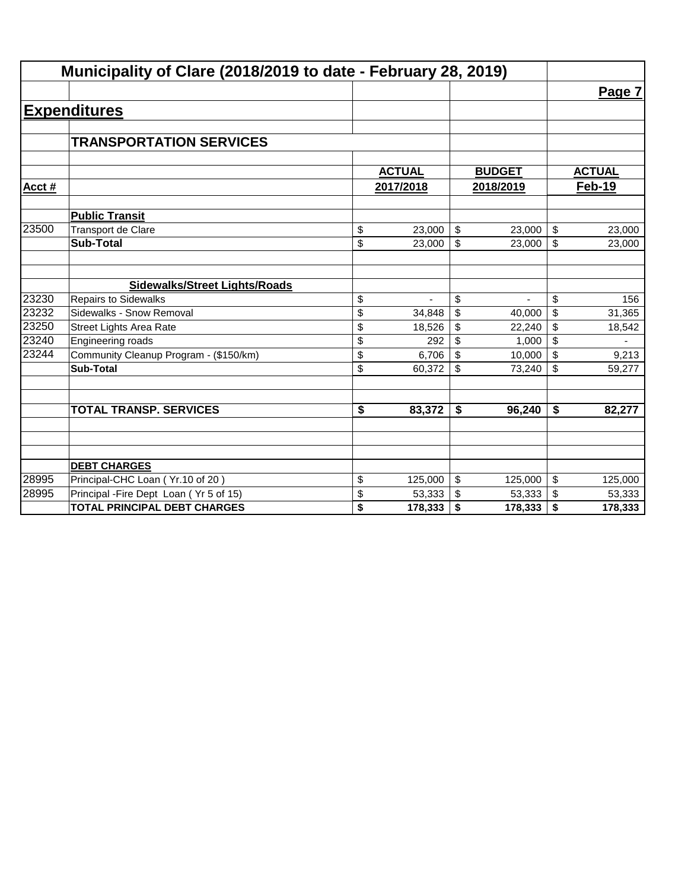|       | Municipality of Clare (2018/2019 to date - February 28, 2019) |               |               |                         |               |
|-------|---------------------------------------------------------------|---------------|---------------|-------------------------|---------------|
|       |                                                               |               |               |                         | Page 7        |
|       | <b>Expenditures</b>                                           |               |               |                         |               |
|       |                                                               |               |               |                         |               |
|       | <b>TRANSPORTATION SERVICES</b>                                |               |               |                         |               |
|       |                                                               | <b>ACTUAL</b> | <b>BUDGET</b> |                         | <b>ACTUAL</b> |
| Acct# |                                                               | 2017/2018     | 2018/2019     |                         | Feb-19        |
|       |                                                               |               |               |                         |               |
|       | <b>Public Transit</b>                                         |               |               |                         |               |
| 23500 | Transport de Clare                                            | \$<br>23,000  | \$<br>23,000  | $\sqrt{2}$              | 23,000        |
|       | <b>Sub-Total</b>                                              | \$<br>23,000  | \$<br>23,000  | \$                      | 23,000        |
|       | <b>Sidewalks/Street Lights/Roads</b>                          |               |               |                         |               |
| 23230 | <b>Repairs to Sidewalks</b>                                   | \$            | \$            | \$                      | 156           |
| 23232 | Sidewalks - Snow Removal                                      | \$<br>34.848  | \$<br>40,000  | \$                      | 31,365        |
| 23250 | <b>Street Lights Area Rate</b>                                | \$<br>18,526  | \$<br>22,240  | \$                      | 18,542        |
| 23240 | Engineering roads                                             | \$<br>292     | \$<br>1,000   | \$                      |               |
| 23244 | Community Cleanup Program - (\$150/km)                        | \$<br>6,706   | \$<br>10,000  | \$                      | 9,213         |
|       | <b>Sub-Total</b>                                              | \$<br>60,372  | \$<br>73,240  | \$                      | 59,277        |
|       | <b>TOTAL TRANSP. SERVICES</b>                                 | \$<br>83,372  | \$<br>96,240  | \$                      | 82,277        |
|       |                                                               |               |               |                         |               |
|       | <b>DEBT CHARGES</b>                                           |               |               |                         |               |
| 28995 | Principal-CHC Loan (Yr.10 of 20)                              | \$<br>125,000 | \$<br>125,000 | $\sqrt[6]{\frac{1}{2}}$ | 125,000       |
| 28995 | Principal - Fire Dept Loan (Yr 5 of 15)                       | \$<br>53,333  | \$<br>53,333  | $\sqrt{2}$              | 53,333        |
|       | <b>TOTAL PRINCIPAL DEBT CHARGES</b>                           | \$<br>178,333 | \$<br>178,333 | \$                      | 178,333       |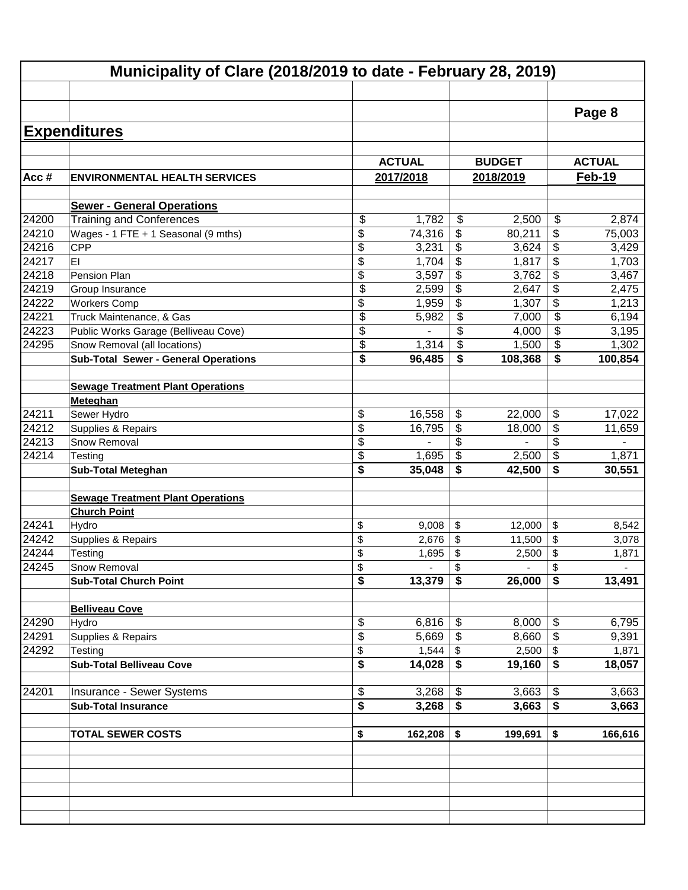|                | Municipality of Clare (2018/2019 to date - February 28, 2019)        |                                      |                |                                 |                |          |                |  |
|----------------|----------------------------------------------------------------------|--------------------------------------|----------------|---------------------------------|----------------|----------|----------------|--|
|                |                                                                      |                                      |                |                                 |                |          |                |  |
|                |                                                                      |                                      |                |                                 |                |          | Page 8         |  |
|                | <b>Expenditures</b>                                                  |                                      |                |                                 |                |          |                |  |
|                |                                                                      |                                      |                |                                 |                |          |                |  |
|                |                                                                      |                                      | <b>ACTUAL</b>  |                                 | <b>BUDGET</b>  |          | <b>ACTUAL</b>  |  |
| Acc#           | <b>ENVIRONMENTAL HEALTH SERVICES</b>                                 |                                      | 2017/2018      |                                 | 2018/2019      |          | Feb-19         |  |
|                |                                                                      |                                      |                |                                 |                |          |                |  |
|                | <b>Sewer - General Operations</b>                                    |                                      |                |                                 |                |          |                |  |
| 24200          | <b>Training and Conferences</b>                                      | \$                                   | 1,782          | $\boldsymbol{\mathsf{S}}$       | 2,500          | \$       | 2,874          |  |
| 24210          | Wages - 1 FTE + 1 Seasonal (9 mths)                                  | \$                                   | 74,316         | \$                              | 80,211         | \$       | 75,003         |  |
| 24216          | <b>CPP</b>                                                           | \$                                   | 3,231          | \$                              | 3,624          | \$       | 3,429          |  |
| 24217          | EI                                                                   | \$                                   | 1,704          | \$                              | 1,817          | \$       | 1,703          |  |
| 24218          | Pension Plan                                                         | \$                                   | 3,597          | \$                              | 3,762          | \$       | 3,467          |  |
| 24219<br>24222 | Group Insurance                                                      | \$                                   | 2,599          | \$                              | 2,647          | \$<br>\$ | 2,475          |  |
|                | <b>Workers Comp</b>                                                  | \$<br>\$                             | 1,959          | \$                              | 1,307          | \$       | 1,213          |  |
| 24221          | Truck Maintenance, & Gas                                             | \$                                   | 5,982          | \$<br>$\boldsymbol{\mathsf{S}}$ | 7,000          | \$       | 6,194          |  |
| 24223<br>24295 | Public Works Garage (Belliveau Cove)<br>Snow Removal (all locations) | \$                                   | 1,314          | \$                              | 4,000<br>1,500 | \$       | 3,195<br>1,302 |  |
|                | <b>Sub-Total Sewer - General Operations</b>                          | \$                                   | 96,485         | \$                              | 108,368        | \$       | 100,854        |  |
|                |                                                                      |                                      |                |                                 |                |          |                |  |
|                | <b>Sewage Treatment Plant Operations</b>                             |                                      |                |                                 |                |          |                |  |
|                | Meteghan                                                             |                                      |                |                                 |                |          |                |  |
| 24211          | Sewer Hydro                                                          | \$                                   | 16,558         | \$                              | 22,000         | \$       | 17,022         |  |
| 24212          | Supplies & Repairs                                                   | \$                                   | 16,795         | \$                              | 18,000         | \$       | 11,659         |  |
| 24213          | Snow Removal                                                         | \$                                   |                | \$                              |                | \$       |                |  |
| 24214          | Testing                                                              | \$                                   | 1,695          | \$                              | 2,500          | \$       | 1,871          |  |
|                | <b>Sub-Total Meteghan</b>                                            | \$                                   | 35,048         | \$                              | 42,500         | \$       | 30,551         |  |
|                |                                                                      |                                      |                |                                 |                |          |                |  |
|                | <b>Sewage Treatment Plant Operations</b>                             |                                      |                |                                 |                |          |                |  |
|                | <b>Church Point</b>                                                  |                                      |                |                                 |                |          |                |  |
| 24241          | Hydro                                                                | \$                                   | 9,008          | \$                              | 12,000         | \$       | 8,542          |  |
| 24242          | Supplies & Repairs                                                   | \$                                   | 2,676          | \$                              | 11,500         | \$       | 3,078          |  |
| 24244          | Testing                                                              | \$                                   | 1,695          | \$                              | 2,500          | \$       | 1,871          |  |
| 24245          | Snow Removal                                                         | $\boldsymbol{\theta}$                |                | \$                              |                | Pβ       |                |  |
|                | <b>Sub-Total Church Point</b>                                        | $\overline{\boldsymbol{\mathsf{s}}}$ | 13,379         | \$                              | 26,000         | \$       | 13,491         |  |
|                |                                                                      |                                      |                |                                 |                |          |                |  |
|                | <b>Belliveau Cove</b>                                                |                                      |                |                                 |                |          |                |  |
| 24290          | Hydro                                                                | \$                                   | 6,816          | \$                              | 8,000          | \$       | 6,795          |  |
| 24291          | Supplies & Repairs                                                   | \$                                   | 5,669          | \$                              | 8,660          | \$       | 9,391          |  |
| 24292          | Testing                                                              | \$                                   | 1,544          | \$                              | 2,500          | \$       | 1,871          |  |
|                | <b>Sub-Total Belliveau Cove</b>                                      | \$                                   | 14,028         | \$                              | 19,160         | \$       | 18,057         |  |
|                |                                                                      |                                      |                |                                 |                |          |                |  |
| 24201          | Insurance - Sewer Systems                                            | \$<br>\$                             | 3,268<br>3,268 | \$<br>\$                        | 3,663          | \$<br>\$ | 3,663          |  |
|                | <b>Sub-Total Insurance</b>                                           |                                      |                |                                 | 3,663          |          | 3,663          |  |
|                | <b>TOTAL SEWER COSTS</b>                                             | \$                                   | 162,208        | \$                              | 199,691        | \$       | 166,616        |  |
|                |                                                                      |                                      |                |                                 |                |          |                |  |
|                |                                                                      |                                      |                |                                 |                |          |                |  |
|                |                                                                      |                                      |                |                                 |                |          |                |  |
|                |                                                                      |                                      |                |                                 |                |          |                |  |
|                |                                                                      |                                      |                |                                 |                |          |                |  |
|                |                                                                      |                                      |                |                                 |                |          |                |  |
|                |                                                                      |                                      |                |                                 |                |          |                |  |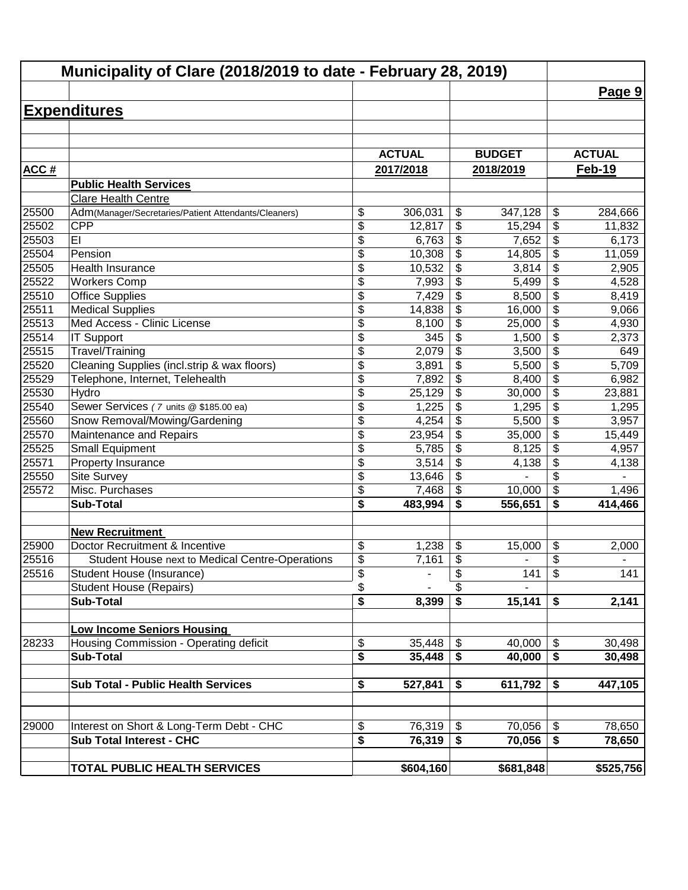| Municipality of Clare (2018/2019 to date - February 28, 2019) |                                                        |                          |               |                                        |                  |                                                     |               |
|---------------------------------------------------------------|--------------------------------------------------------|--------------------------|---------------|----------------------------------------|------------------|-----------------------------------------------------|---------------|
|                                                               |                                                        |                          |               |                                        |                  |                                                     | Page 9        |
|                                                               | <b>Expenditures</b>                                    |                          |               |                                        |                  |                                                     |               |
|                                                               |                                                        |                          |               |                                        |                  |                                                     |               |
|                                                               |                                                        |                          |               |                                        |                  |                                                     |               |
|                                                               |                                                        |                          | <b>ACTUAL</b> |                                        | <b>BUDGET</b>    |                                                     | <b>ACTUAL</b> |
| <b>ACC#</b>                                                   |                                                        |                          | 2017/2018     |                                        | 2018/2019        |                                                     | <b>Feb-19</b> |
|                                                               | <b>Public Health Services</b>                          |                          |               |                                        |                  |                                                     |               |
|                                                               | <b>Clare Health Centre</b>                             |                          |               |                                        |                  |                                                     |               |
| 25500                                                         | Adm(Manager/Secretaries/Patient Attendants/Cleaners)   | \$                       | 306,031       | \$                                     | 347,128          | \$                                                  | 284,666       |
| 25502                                                         | <b>CPP</b><br>EI                                       | \$                       | 12,817        | \$                                     | 15,294           | \$                                                  | 11,832        |
| 25503<br>25504                                                |                                                        | \$                       | 6,763         | \$                                     | 7,652            | \$                                                  | 6,173         |
| 25505                                                         | Pension<br>Health Insurance                            | \$<br>\$                 | 10,308        | \$                                     | 14,805           | $\overline{\boldsymbol{\theta}}$                    | 11,059        |
| 25522                                                         |                                                        | \$                       | 10,532        | \$                                     | 3,814            | $\overline{\boldsymbol{\theta}}$<br>$\overline{\$}$ | 2,905         |
| 25510                                                         | <b>Workers Comp</b><br><b>Office Supplies</b>          | $\overline{\$}$          | 7,993         | \$<br>\$                               | 5,499            | $\overline{\$}$                                     | 4,528         |
|                                                               |                                                        |                          | 7,429         |                                        | 8,500            | $\overline{\$}$                                     | 8,419         |
| 25511<br>25513                                                | <b>Medical Supplies</b><br>Med Access - Clinic License | \$<br>\$                 | 14,838        | \$<br>\$                               | 16,000<br>25,000 | $\overline{\$}$                                     | 9,066         |
| 25514                                                         | <b>IT Support</b>                                      | \$                       | 8,100<br>345  | \$                                     |                  | $\overline{\$}$                                     | 4,930         |
| 25515                                                         | Travel/Training                                        | \$                       | 2,079         | \$                                     | 1,500<br>3,500   | \$                                                  | 2,373<br>649  |
| 25520                                                         | Cleaning Supplies (incl.strip & wax floors)            | \$                       | 3,891         | \$                                     | 5,500            | $\overline{\$}$                                     | 5,709         |
| 25529                                                         | Telephone, Internet, Telehealth                        | \$                       | 7,892         | \$                                     | 8,400            | \$                                                  | 6,982         |
| 25530                                                         | Hydro                                                  | \$                       | 25,129        | \$                                     | 30,000           | \$                                                  | 23,881        |
| 25540                                                         | Sewer Services (7 units @ \$185.00 ea)                 | \$                       | 1,225         | \$                                     | 1,295            | \$                                                  | 1,295         |
| 25560                                                         | Snow Removal/Mowing/Gardening                          | \$                       | 4,254         | \$                                     | 5,500            | $\overline{\mathcal{L}}$                            | 3,957         |
| 25570                                                         | Maintenance and Repairs                                | \$                       | 23,954        | \$                                     | 35,000           | $\overline{\mathcal{L}}$                            | 15,449        |
| 25525                                                         | <b>Small Equipment</b>                                 | \$                       | 5,785         | \$                                     | 8,125            | \$                                                  | 4,957         |
| 25571                                                         | Property Insurance                                     | \$                       | 3,514         | \$                                     | 4,138            | \$                                                  | 4,138         |
| 25550                                                         | <b>Site Survey</b>                                     | \$                       | 13,646        | \$                                     |                  | \$                                                  |               |
| 25572                                                         | Misc. Purchases                                        | \$                       | 7,468         | \$                                     | 10,000           | $\boldsymbol{\mathsf{S}}$                           | 1,496         |
|                                                               | <b>Sub-Total</b>                                       | \$                       | 483,994       | \$                                     | 556,651          | \$                                                  | 414,466       |
|                                                               |                                                        |                          |               |                                        |                  |                                                     |               |
|                                                               | <b>New Recruitment</b>                                 |                          |               |                                        |                  |                                                     |               |
| 25900                                                         | Doctor Recruitment & Incentive                         | \$                       | 1,238         | \$                                     | 15,000           | \$                                                  | 2,000         |
| 25516                                                         | Student House next to Medical Centre-Operations        | \$                       | 7,161         | \$                                     |                  | $\overline{\boldsymbol{\theta}}$                    |               |
| 25516                                                         | Student House (Insurance)                              | $\overline{\mathcal{G}}$ |               | \$                                     | 141              | \$                                                  | 141           |
|                                                               | <b>Student House (Repairs)</b>                         | \$                       |               | \$                                     |                  |                                                     |               |
|                                                               | <b>Sub-Total</b>                                       | \$                       | 8,399         | $\overline{\boldsymbol{\mathfrak{s}}}$ | 15,141           | \$                                                  | 2,141         |
|                                                               |                                                        |                          |               |                                        |                  |                                                     |               |
|                                                               | <b>Low Income Seniors Housing</b>                      |                          |               |                                        |                  |                                                     |               |
| 28233                                                         | Housing Commission - Operating deficit                 | \$                       | 35,448        | \$                                     | 40,000           | $\frac{1}{2}$                                       | 30,498        |
|                                                               | <b>Sub-Total</b>                                       | \$                       | 35,448        | \$                                     | 40,000           | \$                                                  | 30,498        |
|                                                               |                                                        |                          |               |                                        |                  |                                                     |               |
|                                                               | <b>Sub Total - Public Health Services</b>              | \$                       | 527,841       | \$                                     | 611,792          | \$                                                  | 447,105       |
|                                                               |                                                        |                          |               |                                        |                  |                                                     |               |
|                                                               |                                                        |                          |               |                                        |                  |                                                     |               |
| 29000                                                         | Interest on Short & Long-Term Debt - CHC               | \$                       | 76,319        | $\boldsymbol{\mathsf{S}}$              | 70,056           | $\boldsymbol{\mathsf{S}}$                           | 78,650        |
|                                                               | <b>Sub Total Interest - CHC</b>                        | \$                       | 76,319        | \$                                     | 70,056           | \$                                                  | 78,650        |
|                                                               |                                                        |                          |               |                                        |                  |                                                     |               |
|                                                               | TOTAL PUBLIC HEALTH SERVICES                           |                          | \$604,160     |                                        | \$681,848        |                                                     | \$525,756     |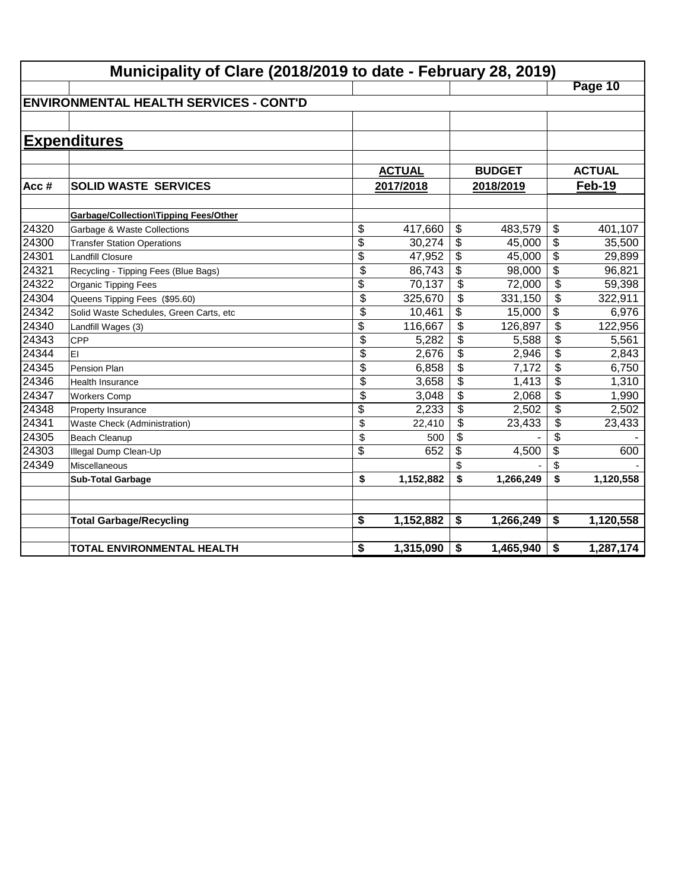|       | Municipality of Clare (2018/2019 to date - February 28, 2019) |                          |               |                           |               |                 |                        |  |  |  |
|-------|---------------------------------------------------------------|--------------------------|---------------|---------------------------|---------------|-----------------|------------------------|--|--|--|
|       |                                                               |                          |               |                           |               |                 | Page 10                |  |  |  |
|       | <b>ENVIRONMENTAL HEALTH SERVICES - CONT'D</b>                 |                          |               |                           |               |                 |                        |  |  |  |
|       |                                                               |                          |               |                           |               |                 |                        |  |  |  |
|       | <b>Expenditures</b>                                           |                          |               |                           |               |                 |                        |  |  |  |
|       |                                                               |                          |               |                           |               |                 |                        |  |  |  |
|       |                                                               |                          | <b>ACTUAL</b> |                           | <b>BUDGET</b> |                 | <b>ACTUAL</b>          |  |  |  |
| Acc#  | <b>SOLID WASTE SERVICES</b>                                   |                          | 2017/2018     |                           | 2018/2019     |                 | <b>Feb-19</b>          |  |  |  |
|       |                                                               |                          |               |                           |               |                 |                        |  |  |  |
|       | <b>Garbage/Collection\Tipping Fees/Other</b>                  |                          |               |                           |               |                 |                        |  |  |  |
| 24320 | Garbage & Waste Collections                                   | \$                       | 417,660       | \$                        | 483,579       | \$              | 401,107                |  |  |  |
| 24300 | <b>Transfer Station Operations</b>                            | $\overline{\$}$          | 30,274        | $\boldsymbol{\mathsf{S}}$ | 45,000        | \$              | 35,500                 |  |  |  |
| 24301 | <b>Landfill Closure</b>                                       | $\overline{\$}$          | 47,952        | \$                        | 45,000        | $\overline{\$}$ | 29,899                 |  |  |  |
| 24321 | Recycling - Tipping Fees (Blue Bags)                          | \$                       | 86,743        | \$                        | 98,000        | $\overline{\$}$ | 96,821                 |  |  |  |
| 24322 | Organic Tipping Fees                                          | $\overline{\mathcal{L}}$ | 70,137        | $\overline{\mathcal{S}}$  | 72,000        | $\overline{\$}$ | 59,398                 |  |  |  |
| 24304 | Queens Tipping Fees (\$95.60)                                 | $\overline{\$}$          | 325,670       | $\overline{\mathcal{L}}$  | 331,150       | \$              | 322,911                |  |  |  |
| 24342 | Solid Waste Schedules, Green Carts, etc                       | $\overline{\mathcal{L}}$ | 10,461        | \$                        | 15,000        | \$              | 6,976                  |  |  |  |
| 24340 | Landfill Wages (3)                                            | \$                       | 116,667       | \$                        | 126,897       | \$              | 122,956                |  |  |  |
| 24343 | CPP                                                           | $\overline{\$}$          | 5,282         | \$                        | 5,588         | \$              | 5,561                  |  |  |  |
| 24344 | EI                                                            | \$                       | 2,676         | \$                        | 2,946         | \$              | 2,843                  |  |  |  |
| 24345 | Pension Plan                                                  | \$                       | 6,858         | \$                        | 7,172         | \$              | 6,750                  |  |  |  |
| 24346 | <b>Health Insurance</b>                                       | \$                       | 3,658         | \$                        | 1,413         | \$              | 1,310                  |  |  |  |
| 24347 | <b>Workers Comp</b>                                           | \$                       | 3,048         | \$                        | 2,068         | \$              | 1,990                  |  |  |  |
| 24348 | Property Insurance                                            | \$                       | 2,233         | \$                        | 2,502         | \$              | 2,502                  |  |  |  |
| 24341 | Waste Check (Administration)                                  | \$                       | 22,410        | \$                        | 23,433        | \$              | 23,433                 |  |  |  |
| 24305 | <b>Beach Cleanup</b>                                          | \$                       | 500           | \$                        |               | \$              |                        |  |  |  |
| 24303 | Illegal Dump Clean-Up                                         | \$                       | 652           | \$                        | 4,500         | \$              | 600                    |  |  |  |
| 24349 | Miscellaneous                                                 |                          |               | \$                        |               | \$              |                        |  |  |  |
|       | <b>Sub-Total Garbage</b>                                      | \$                       | 1,152,882     | \$                        | 1,266,249     | \$              | 1,120,558              |  |  |  |
|       |                                                               |                          |               |                           |               |                 |                        |  |  |  |
|       | <b>Total Garbage/Recycling</b>                                | \$                       | 1,152,882     | \$                        | 1,266,249     | \$              | $\overline{1,120,558}$ |  |  |  |
|       |                                                               |                          |               |                           |               |                 |                        |  |  |  |
|       | <b>TOTAL ENVIRONMENTAL HEALTH</b>                             | \$                       | 1,315,090     | \$                        | 1,465,940     | \$              | 1,287,174              |  |  |  |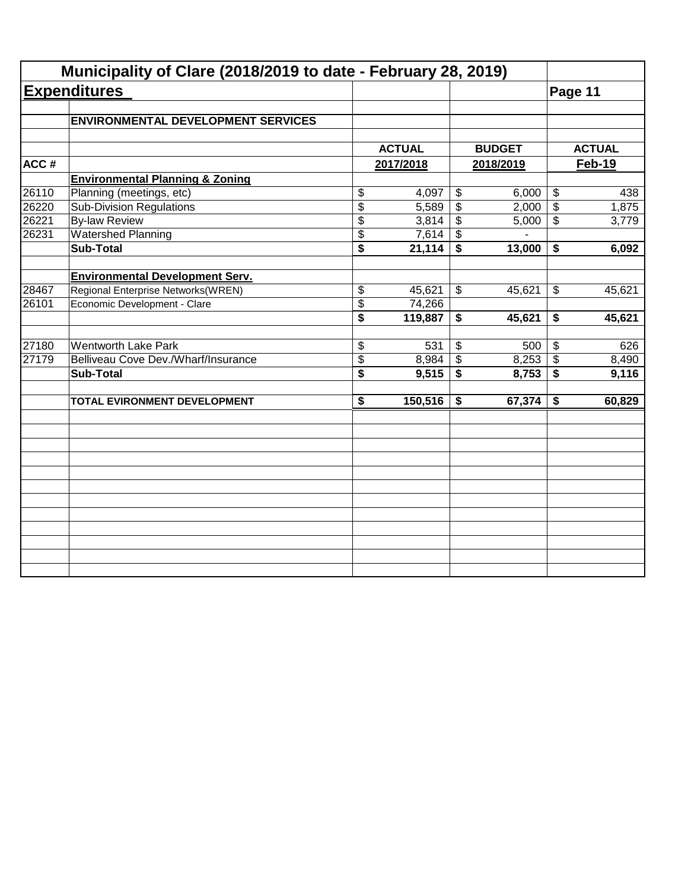|       | <b>Expenditures</b>                        |                         |               |                             |               | Page 11                   |               |  |
|-------|--------------------------------------------|-------------------------|---------------|-----------------------------|---------------|---------------------------|---------------|--|
|       |                                            |                         |               |                             |               |                           |               |  |
|       | <b>ENVIRONMENTAL DEVELOPMENT SERVICES</b>  |                         |               |                             |               |                           |               |  |
|       |                                            |                         |               |                             |               |                           |               |  |
|       |                                            |                         | <b>ACTUAL</b> |                             | <b>BUDGET</b> |                           | <b>ACTUAL</b> |  |
| ACC#  |                                            |                         | 2017/2018     |                             | 2018/2019     | Feb-19                    |               |  |
|       | <b>Environmental Planning &amp; Zoning</b> |                         |               |                             |               |                           |               |  |
| 26110 | Planning (meetings, etc)                   | \$                      | 4,097         | $\boldsymbol{\mathsf{S}}$   | 6,000         | $\overline{\$}$           | 438           |  |
| 26220 | Sub-Division Regulations                   | $\overline{\$}$         | 5,589         | $\overline{\$}$             | 2,000         | $\overline{\$}$           | 1,875         |  |
| 26221 | <b>By-law Review</b>                       | \$                      | 3,814         | $\sqrt{3}$                  | 5,000         | $\overline{\mathcal{L}}$  | 3,779         |  |
| 26231 | <b>Watershed Planning</b>                  | \$                      | 7,614         | $\sqrt{3}$                  |               |                           |               |  |
|       | <b>Sub-Total</b>                           | \$                      | 21,114        | $\overline{\mathbf{s}}$     | 13,000        | \$                        | 6,092         |  |
|       |                                            |                         |               |                             |               |                           |               |  |
|       | <b>Environmental Development Serv.</b>     |                         |               |                             |               |                           |               |  |
| 28467 | Regional Enterprise Networks(WREN)         | \$                      | 45,621        | $\boldsymbol{\mathsf{S}}$   | 45,621        | $\boldsymbol{\mathsf{S}}$ | 45,621        |  |
| 26101 | Economic Development - Clare               | \$                      | 74,266        |                             |               |                           |               |  |
|       |                                            | $\overline{\mathbf{s}}$ | 119,887       | \$                          | 45,621        | \$                        | 45,621        |  |
| 27180 | <b>Wentworth Lake Park</b>                 | \$                      | 531           | $\boldsymbol{\mathsf{S}}$   | 500           | $\mathfrak{F}$            | 626           |  |
| 27179 | Belliveau Cove Dev./Wharf/Insurance        | \$                      | 8,984         | $\frac{1}{2}$               | 8,253         | $\sqrt[6]{\frac{1}{2}}$   | 8,490         |  |
|       | <b>Sub-Total</b>                           | $\overline{\$}$         | 9,515         | $\overline{\boldsymbol{s}}$ | 8,753         | $\overline{\$}$           | 9,116         |  |
|       |                                            |                         |               |                             |               |                           |               |  |
|       | TOTAL EVIRONMENT DEVELOPMENT               | \$                      | 150,516       | \$                          | 67,374        | \$                        | 60,829        |  |
|       |                                            |                         |               |                             |               |                           |               |  |
|       |                                            |                         |               |                             |               |                           |               |  |
|       |                                            |                         |               |                             |               |                           |               |  |
|       |                                            |                         |               |                             |               |                           |               |  |
|       |                                            |                         |               |                             |               |                           |               |  |
|       |                                            |                         |               |                             |               |                           |               |  |
|       |                                            |                         |               |                             |               |                           |               |  |
|       |                                            |                         |               |                             |               |                           |               |  |
|       |                                            |                         |               |                             |               |                           |               |  |
|       |                                            |                         |               |                             |               |                           |               |  |
|       |                                            |                         |               |                             |               |                           |               |  |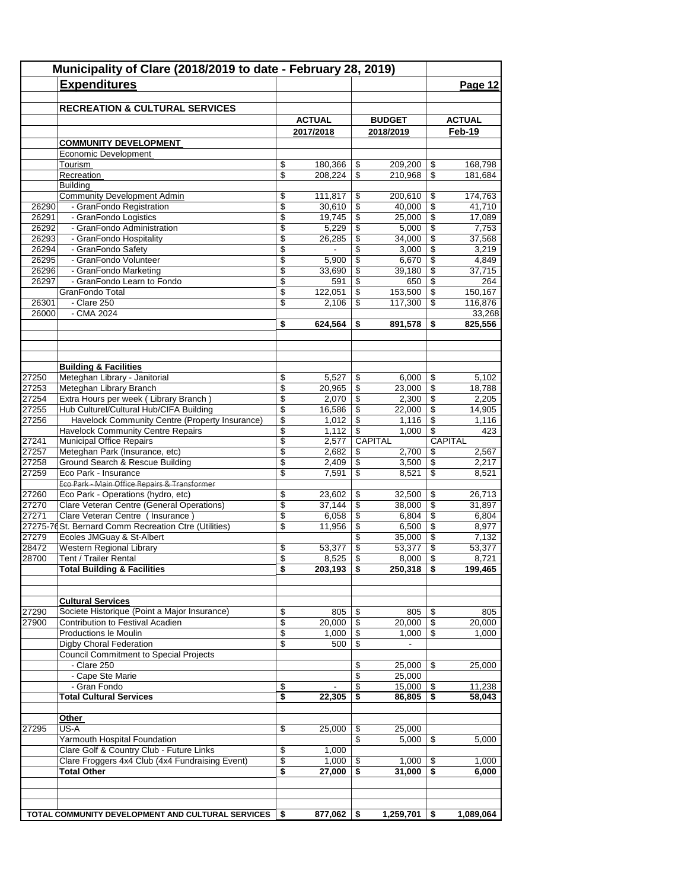| Municipality of Clare (2018/2019 to date - February 28, 2019) |                                                                                            |                          |                    |                                |                    |                          |                    |
|---------------------------------------------------------------|--------------------------------------------------------------------------------------------|--------------------------|--------------------|--------------------------------|--------------------|--------------------------|--------------------|
|                                                               | <b>Expenditures</b>                                                                        |                          |                    |                                |                    |                          | Page 12            |
|                                                               |                                                                                            |                          |                    |                                |                    |                          |                    |
|                                                               | <b>RECREATION &amp; CULTURAL SERVICES</b>                                                  |                          |                    |                                |                    |                          |                    |
|                                                               |                                                                                            |                          | <b>ACTUAL</b>      |                                | <b>BUDGET</b>      |                          | <b>ACTUAL</b>      |
|                                                               |                                                                                            |                          | 2017/2018          |                                | 2018/2019          |                          | Feb-19             |
|                                                               | <b>COMMUNITY DEVELOPMENT</b>                                                               |                          |                    |                                |                    |                          |                    |
|                                                               | Economic Development                                                                       |                          |                    |                                |                    |                          |                    |
|                                                               | Tourism                                                                                    | \$<br>$\overline{\$}$    | 180,366<br>208,224 | \$<br>$\overline{\mathcal{S}}$ | 209,200<br>210,968 | \$<br>\$                 | 168,798<br>181,684 |
|                                                               | Recreation<br><b>Building</b>                                                              |                          |                    |                                |                    |                          |                    |
|                                                               | <b>Community Development Admin</b>                                                         | \$                       | 111,817            | \$                             | 200,610            | \$                       | 174,763            |
| 26290                                                         | - GranFondo Registration                                                                   | $\overline{\mathbb{S}}$  | 30,610             | \$                             | 40,000             | $\overline{\$}$          | 41,710             |
| 26291                                                         | - GranFondo Logistics                                                                      | \$                       | 19,745             | \$                             | 25,000             | \$                       | 17,089             |
| 26292                                                         | - GranFondo Administration                                                                 | \$                       | 5,229              | \$                             | 5,000              | \$                       | 7,753              |
| 26293                                                         | - GranFondo Hospitality                                                                    | \$                       | 26,285             | \$                             | 34,000             | \$                       | 37,568             |
| 26294                                                         | - GranFondo Safety                                                                         | \$                       | $\blacksquare$     | \$                             | 3,000              | \$                       | 3,219              |
| 26295                                                         | - GranFondo Volunteer                                                                      | \$                       | 5,900              | \$                             | 6,670              | \$                       | 4,849              |
| 26296                                                         | - GranFondo Marketing                                                                      | \$                       | 33,690             | \$                             | 39,180             | \$                       | 37,715             |
| 26297                                                         | - GranFondo Learn to Fondo                                                                 | $\overline{\mathcal{S}}$ | 591                | \$                             | 650                | \$                       | 264                |
|                                                               | GranFondo Total<br>- Clare 250                                                             | \$<br>\$                 | 122,051            | \$                             | 153,500<br>117,300 | \$                       | 150,167            |
| 26301<br>26000                                                | - CMA 2024                                                                                 |                          | 2,106              | \$                             |                    | \$                       | 116,876<br>33,268  |
|                                                               |                                                                                            | \$                       | 624,564            | S                              | 891,578            | S                        | 825,556            |
|                                                               |                                                                                            |                          |                    |                                |                    |                          |                    |
|                                                               |                                                                                            |                          |                    |                                |                    |                          |                    |
|                                                               |                                                                                            |                          |                    |                                |                    |                          |                    |
|                                                               | <b>Building &amp; Facilities</b>                                                           |                          |                    |                                |                    |                          |                    |
| 27250                                                         | Meteghan Library - Janitorial                                                              | \$                       | 5,527              | \$                             | 6,000              | \$                       | 5,102              |
| 27253                                                         | Meteghan Library Branch                                                                    | $\overline{\mathbb{S}}$  | 20,965             | \$                             | 23,000             | $\overline{\mathcal{S}}$ | 18,788             |
| 27254                                                         | Extra Hours per week (Library Branch)                                                      | \$                       | 2,070              | \$                             | 2,300              | \$                       | 2,205              |
| 27255                                                         | Hub Culturel/Cultural Hub/CIFA Building                                                    | \$                       | 16,586             | \$                             | 22,000             | \$                       | 14,905             |
| 27256                                                         | Havelock Community Centre (Property Insurance)<br><b>Havelock Community Centre Repairs</b> | \$<br>$\overline{\$}$    | 1,012              | \$<br>\$                       | 1,116<br>1,000     | \$<br>\$                 | 1,116<br>423       |
| 27241                                                         | Municipal Office Repairs                                                                   | \$                       | 1,112<br>2,577     |                                | CAPITAL            |                          | CAPITAL            |
| 27257                                                         | Meteghan Park (Insurance, etc)                                                             | \$                       | 2,682              | \$                             | 2,700              | \$                       | 2,567              |
| 27258                                                         | Ground Search & Rescue Building                                                            | \$                       | 2,409              | \$                             | 3,500              | \$                       | 2,217              |
| 27259                                                         | Eco Park - Insurance                                                                       | \$                       | 7,591              | \$                             | 8,521              | \$                       | 8,521              |
|                                                               | Eco Park - Main Office Repairs & Transformer                                               |                          |                    |                                |                    |                          |                    |
| 27260                                                         | Eco Park - Operations (hydro, etc)                                                         | \$                       | 23,602             | \$                             | 32,500             | \$                       | 26,713             |
| 27270                                                         | Clare Veteran Centre (General Operations)                                                  | $\overline{\$}$          | 37,144             | $\overline{\$}$                | 38,000             | $\overline{\$}$          | 31,897             |
| 27271                                                         | Clare Veteran Centre (Insurance)                                                           | \$                       | 6,058              | \$                             | 6,804              | \$                       | 6,804              |
|                                                               | 27275-76St. Bernard Comm Recreation Ctre (Utilities)                                       | \$                       | 11,956             | \$                             | 6,500              | \$                       | 8,977              |
| 27279                                                         | Écoles JMGuay & St-Albert                                                                  |                          |                    | \$                             | 35,000             | \$                       | 7,132              |
| 28472                                                         | Western Regional Library                                                                   | \$                       | 53,377             | \$                             | 53.377             | \$                       | 53,377             |
| 28700                                                         | Tent / Trailer Rental<br><b>Total Building &amp; Facilities</b>                            | \$<br>\$                 | 8,525<br>203,193   | \$<br>\$                       | 8,000<br>250,318   | \$<br>\$                 | 8,721<br>199,465   |
|                                                               |                                                                                            |                          |                    |                                |                    |                          |                    |
|                                                               |                                                                                            |                          |                    |                                |                    |                          |                    |
|                                                               | <b>Cultural Services</b>                                                                   |                          |                    |                                |                    |                          |                    |
| 27290                                                         | Societe Historique (Point a Major Insurance)                                               | \$                       | 805                | \$                             | 805                | \$                       | 805                |
| 27900                                                         | Contribution to Festival Acadien                                                           | $\overline{\$}$          | 20,000             | \$                             | 20.000             | \$                       | 20,000             |
|                                                               | Productions le Moulin                                                                      | \$                       | 1,000              | \$                             | 1,000              | \$                       | 1,000              |
|                                                               | Digby Choral Federation                                                                    | \$                       | 500                | \$                             | $\blacksquare$     |                          |                    |
|                                                               | <b>Council Commitment to Special Projects</b>                                              |                          |                    |                                |                    |                          |                    |
|                                                               | $-Clare 250$                                                                               |                          |                    | \$                             | 25,000             | \$                       | 25,000             |
|                                                               | - Cape Ste Marie<br>- Gran Fondo                                                           |                          |                    | \$                             | 25.000             |                          |                    |
|                                                               | <b>Total Cultural Services</b>                                                             | \$<br>\$                 | 22,305             | \$<br>\$                       | 15,000<br>86,805   | \$<br>\$                 | 11,238<br>58,043   |
|                                                               |                                                                                            |                          |                    |                                |                    |                          |                    |
|                                                               | Other                                                                                      |                          |                    |                                |                    |                          |                    |
| 27295                                                         | US-A                                                                                       | \$                       | 25,000             | \$                             | 25,000             |                          |                    |
|                                                               | Yarmouth Hospital Foundation                                                               |                          |                    | \$                             | 5,000              | \$                       | 5,000              |
|                                                               | Clare Golf & Country Club - Future Links                                                   | \$                       | 1,000              |                                |                    |                          |                    |
|                                                               | Clare Froggers 4x4 Club (4x4 Fundraising Event)                                            | \$                       | 1,000              | \$                             | 1,000              | \$                       | 1,000              |
|                                                               | <b>Total Other</b>                                                                         | \$                       | 27,000             | \$                             | 31,000             | \$                       | 6,000              |
|                                                               |                                                                                            |                          |                    |                                |                    |                          |                    |
|                                                               |                                                                                            |                          |                    |                                |                    |                          |                    |
|                                                               | TOTAL COMMUNITY DEVELOPMENT AND CULTURAL SERVICES                                          | \$                       | 877,062            | \$                             | 1,259,701          | \$                       | 1,089,064          |
|                                                               |                                                                                            |                          |                    |                                |                    |                          |                    |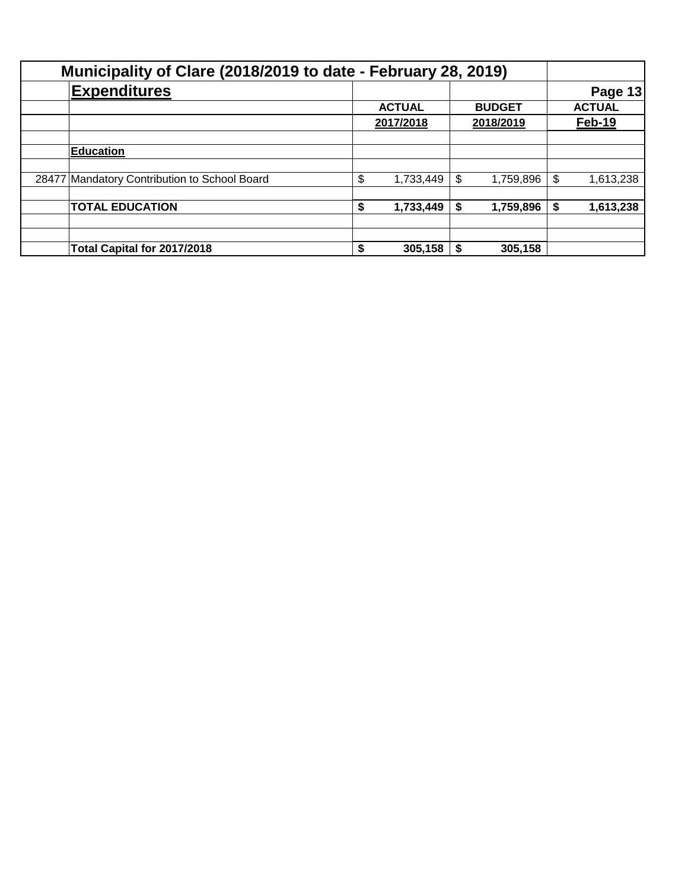| Municipality of Clare (2018/2019 to date - February 28, 2019) |                                              |    |               |    |               |    |                |
|---------------------------------------------------------------|----------------------------------------------|----|---------------|----|---------------|----|----------------|
|                                                               | <b>Expenditures</b>                          |    |               |    |               |    | <b>Page 13</b> |
|                                                               |                                              |    | <b>ACTUAL</b> |    | <b>BUDGET</b> |    | <b>ACTUAL</b>  |
|                                                               |                                              |    | 2017/2018     |    | 2018/2019     |    | <b>Feb-19</b>  |
|                                                               |                                              |    |               |    |               |    |                |
|                                                               | <b>Education</b>                             |    |               |    |               |    |                |
|                                                               |                                              |    |               |    |               |    |                |
|                                                               | 28477 Mandatory Contribution to School Board | \$ | 1,733,449     | \$ | 1,759,896     | \$ | 1,613,238      |
|                                                               |                                              |    |               |    |               |    |                |
|                                                               | <b>TOTAL EDUCATION</b>                       | S  | 1,733,449     | \$ | 1,759,896     | S  | 1,613,238      |
|                                                               |                                              |    |               |    |               |    |                |
|                                                               |                                              |    |               |    |               |    |                |
|                                                               | Total Capital for 2017/2018                  | S. | 305,158       |    | 305,158       |    |                |